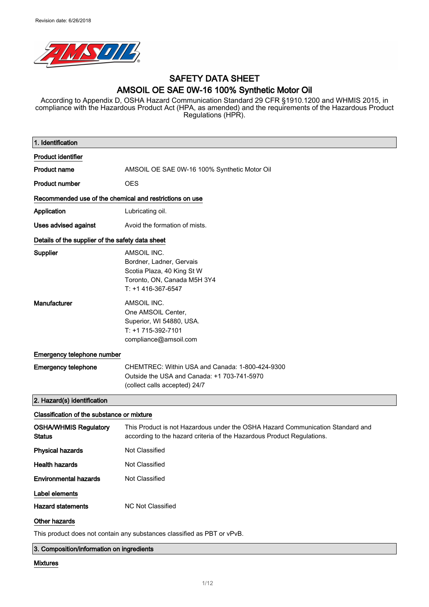

# SAFETY DATA SHEET AMSOIL OE SAE 0W-16 100% Synthetic Motor Oil

According to Appendix D, OSHA Hazard Communication Standard 29 CFR §1910.1200 and WHMIS 2015, in compliance with the Hazardous Product Act (HPA, as amended) and the requirements of the Hazardous Product Regulations (HPR).

| 1. Identification                                       |                                                                                                                                                          |
|---------------------------------------------------------|----------------------------------------------------------------------------------------------------------------------------------------------------------|
| <b>Product identifier</b>                               |                                                                                                                                                          |
| <b>Product name</b>                                     | AMSOIL OE SAE 0W-16 100% Synthetic Motor Oil                                                                                                             |
| <b>Product number</b>                                   | <b>OES</b>                                                                                                                                               |
| Recommended use of the chemical and restrictions on use |                                                                                                                                                          |
| Application                                             | Lubricating oil.                                                                                                                                         |
| Uses advised against                                    | Avoid the formation of mists.                                                                                                                            |
| Details of the supplier of the safety data sheet        |                                                                                                                                                          |
| Supplier                                                | AMSOIL INC.<br>Bordner, Ladner, Gervais<br>Scotia Plaza, 40 King St W<br>Toronto, ON, Canada M5H 3Y4<br>T: +1 416-367-6547                               |
| Manufacturer                                            | AMSOIL INC.<br>One AMSOIL Center,<br>Superior, WI 54880, USA.<br>T: +1 715-392-7101<br>compliance@amsoil.com                                             |
| Emergency telephone number                              |                                                                                                                                                          |
| <b>Emergency telephone</b>                              | CHEMTREC: Within USA and Canada: 1-800-424-9300<br>Outside the USA and Canada: +1 703-741-5970<br>(collect calls accepted) 24/7                          |
| 2. Hazard(s) identification                             |                                                                                                                                                          |
| Classification of the substance or mixture              |                                                                                                                                                          |
| <b>OSHA/WHMIS Regulatory</b><br>Status                  | This Product is not Hazardous under the OSHA Hazard Communication Standard and<br>according to the hazard criteria of the Hazardous Product Regulations. |
| <b>Physical hazards</b>                                 | Not Classified                                                                                                                                           |
| <b>Health hazards</b>                                   | Not Classified                                                                                                                                           |
| <b>Environmental hazards</b>                            | Not Classified                                                                                                                                           |
| Label elements                                          |                                                                                                                                                          |
| <b>Hazard statements</b>                                | <b>NC Not Classified</b>                                                                                                                                 |
| Other hazards                                           |                                                                                                                                                          |
|                                                         | This product does not contain any substances classified as PBT or vPvB.                                                                                  |

3. Composition/information on ingredients

#### Mixtures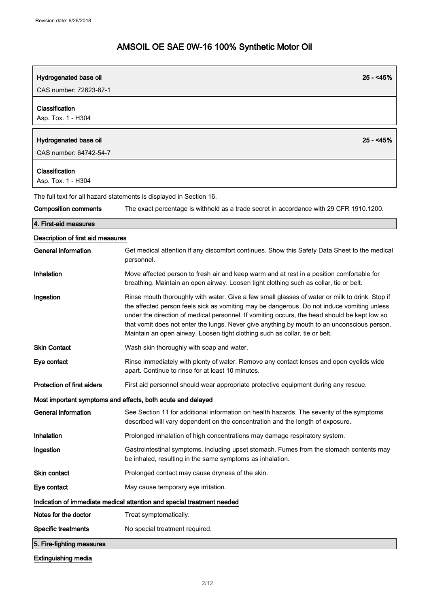| Hydrogenated base oil                | $25 - 45%$                                                                                                                                                                                                                                                                                                                                                                                                                                                                 |
|--------------------------------------|----------------------------------------------------------------------------------------------------------------------------------------------------------------------------------------------------------------------------------------------------------------------------------------------------------------------------------------------------------------------------------------------------------------------------------------------------------------------------|
| CAS number: 72623-87-1               |                                                                                                                                                                                                                                                                                                                                                                                                                                                                            |
| Classification<br>Asp. Tox. 1 - H304 |                                                                                                                                                                                                                                                                                                                                                                                                                                                                            |
| Hydrogenated base oil                | $25 - 45%$                                                                                                                                                                                                                                                                                                                                                                                                                                                                 |
| CAS number: 64742-54-7               |                                                                                                                                                                                                                                                                                                                                                                                                                                                                            |
| Classification<br>Asp. Tox. 1 - H304 |                                                                                                                                                                                                                                                                                                                                                                                                                                                                            |
|                                      | The full text for all hazard statements is displayed in Section 16.                                                                                                                                                                                                                                                                                                                                                                                                        |
| <b>Composition comments</b>          | The exact percentage is withheld as a trade secret in accordance with 29 CFR 1910.1200.                                                                                                                                                                                                                                                                                                                                                                                    |
| 4. First-aid measures                |                                                                                                                                                                                                                                                                                                                                                                                                                                                                            |
| Description of first aid measures    |                                                                                                                                                                                                                                                                                                                                                                                                                                                                            |
| <b>General information</b>           | Get medical attention if any discomfort continues. Show this Safety Data Sheet to the medical<br>personnel.                                                                                                                                                                                                                                                                                                                                                                |
| Inhalation                           | Move affected person to fresh air and keep warm and at rest in a position comfortable for<br>breathing. Maintain an open airway. Loosen tight clothing such as collar, tie or belt.                                                                                                                                                                                                                                                                                        |
| Ingestion                            | Rinse mouth thoroughly with water. Give a few small glasses of water or milk to drink. Stop if<br>the affected person feels sick as vomiting may be dangerous. Do not induce vomiting unless<br>under the direction of medical personnel. If vomiting occurs, the head should be kept low so<br>that vomit does not enter the lungs. Never give anything by mouth to an unconscious person.<br>Maintain an open airway. Loosen tight clothing such as collar, tie or belt. |
| <b>Skin Contact</b>                  | Wash skin thoroughly with soap and water.                                                                                                                                                                                                                                                                                                                                                                                                                                  |
| Eye contact                          | Rinse immediately with plenty of water. Remove any contact lenses and open eyelids wide<br>apart. Continue to rinse for at least 10 minutes.                                                                                                                                                                                                                                                                                                                               |
| <b>Protection of first aiders</b>    | First aid personnel should wear appropriate protective equipment during any rescue.                                                                                                                                                                                                                                                                                                                                                                                        |
|                                      | Most important symptoms and effects, both acute and delayed                                                                                                                                                                                                                                                                                                                                                                                                                |
| <b>General information</b>           | See Section 11 for additional information on health hazards. The severity of the symptoms<br>described will vary dependent on the concentration and the length of exposure.                                                                                                                                                                                                                                                                                                |
| Inhalation                           | Prolonged inhalation of high concentrations may damage respiratory system.                                                                                                                                                                                                                                                                                                                                                                                                 |
| Ingestion                            | Gastrointestinal symptoms, including upset stomach. Fumes from the stomach contents may<br>be inhaled, resulting in the same symptoms as inhalation.                                                                                                                                                                                                                                                                                                                       |
| <b>Skin contact</b>                  | Prolonged contact may cause dryness of the skin.                                                                                                                                                                                                                                                                                                                                                                                                                           |
| Eye contact                          | May cause temporary eye irritation.                                                                                                                                                                                                                                                                                                                                                                                                                                        |
|                                      | Indication of immediate medical attention and special treatment needed                                                                                                                                                                                                                                                                                                                                                                                                     |
| Notes for the doctor                 | Treat symptomatically.                                                                                                                                                                                                                                                                                                                                                                                                                                                     |
| <b>Specific treatments</b>           | No special treatment required.                                                                                                                                                                                                                                                                                                                                                                                                                                             |
| 5. Fire-fighting measures            |                                                                                                                                                                                                                                                                                                                                                                                                                                                                            |

Extinguishing media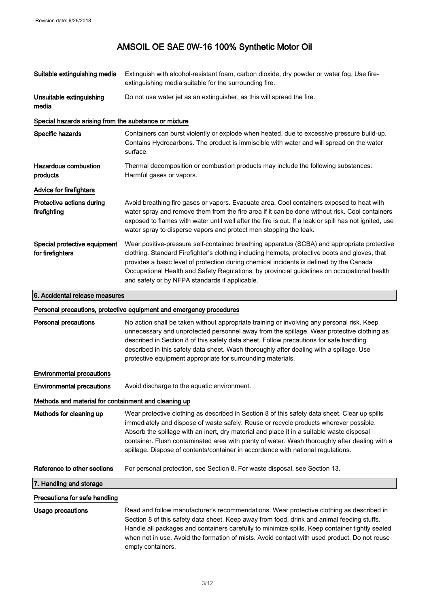| Suitable extinguishing media                          | Extinguish with alcohol-resistant foam, carbon dioxide, dry powder or water fog. Use fire-<br>extinguishing media suitable for the surrounding fire.                                                                                                                                                                                                                                                                                                                     |  |
|-------------------------------------------------------|--------------------------------------------------------------------------------------------------------------------------------------------------------------------------------------------------------------------------------------------------------------------------------------------------------------------------------------------------------------------------------------------------------------------------------------------------------------------------|--|
| Unsuitable extinguishing<br>media                     | Do not use water jet as an extinguisher, as this will spread the fire.                                                                                                                                                                                                                                                                                                                                                                                                   |  |
| Special hazards arising from the substance or mixture |                                                                                                                                                                                                                                                                                                                                                                                                                                                                          |  |
| Specific hazards                                      | Containers can burst violently or explode when heated, due to excessive pressure build-up.<br>Contains Hydrocarbons. The product is immiscible with water and will spread on the water<br>surface.                                                                                                                                                                                                                                                                       |  |
| <b>Hazardous combustion</b><br>products               | Thermal decomposition or combustion products may include the following substances:<br>Harmful gases or vapors.                                                                                                                                                                                                                                                                                                                                                           |  |
| Advice for firefighters                               |                                                                                                                                                                                                                                                                                                                                                                                                                                                                          |  |
| Protective actions during<br>firefighting             | Avoid breathing fire gases or vapors. Evacuate area. Cool containers exposed to heat with<br>water spray and remove them from the fire area if it can be done without risk. Cool containers<br>exposed to flames with water until well after the fire is out. If a leak or spill has not ignited, use<br>water spray to disperse vapors and protect men stopping the leak.                                                                                               |  |
| Special protective equipment<br>for firefighters      | Wear positive-pressure self-contained breathing apparatus (SCBA) and appropriate protective<br>clothing. Standard Firefighter's clothing including helmets, protective boots and gloves, that<br>provides a basic level of protection during chemical incidents is defined by the Canada<br>Occupational Health and Safety Regulations, by provincial guidelines on occupational health<br>and safety or by NFPA standards if applicable.                                |  |
| 6. Accidental release measures                        |                                                                                                                                                                                                                                                                                                                                                                                                                                                                          |  |
|                                                       | Personal precautions, protective equipment and emergency procedures                                                                                                                                                                                                                                                                                                                                                                                                      |  |
| <b>Personal precautions</b>                           | No action shall be taken without appropriate training or involving any personal risk. Keep<br>unnecessary and unprotected personnel away from the spillage. Wear protective clothing as<br>described in Section 8 of this safety data sheet. Follow precautions for safe handling<br>described in this safety data sheet. Wash thoroughly after dealing with a spillage. Use<br>protective equipment appropriate for surrounding materials.                              |  |
| <b>Environmental precautions</b>                      |                                                                                                                                                                                                                                                                                                                                                                                                                                                                          |  |
| <b>Environmental precautions</b>                      | Avoid discharge to the aquatic environment.                                                                                                                                                                                                                                                                                                                                                                                                                              |  |
| Methods and material for containment and cleaning up  |                                                                                                                                                                                                                                                                                                                                                                                                                                                                          |  |
| Methods for cleaning up                               | Wear protective clothing as described in Section 8 of this safety data sheet. Clear up spills<br>immediately and dispose of waste safely. Reuse or recycle products wherever possible.<br>Absorb the spillage with an inert, dry material and place it in a suitable waste disposal<br>container. Flush contaminated area with plenty of water. Wash thoroughly after dealing with a<br>spillage. Dispose of contents/container in accordance with national regulations. |  |
| Reference to other sections                           | For personal protection, see Section 8. For waste disposal, see Section 13.                                                                                                                                                                                                                                                                                                                                                                                              |  |
| 7. Handling and storage                               |                                                                                                                                                                                                                                                                                                                                                                                                                                                                          |  |
| Precautions for safe handling                         |                                                                                                                                                                                                                                                                                                                                                                                                                                                                          |  |
| Usage precautions                                     | Read and follow manufacturer's recommendations. Wear protective clothing as described in<br>Section 8 of this safety data sheet. Keep away from food, drink and animal feeding stuffs.<br>Handle all packages and containers carefully to minimize spills. Keep container tightly sealed<br>when not in use. Avoid the formation of mists. Avoid contact with used product. Do not reuse                                                                                 |  |

empty containers.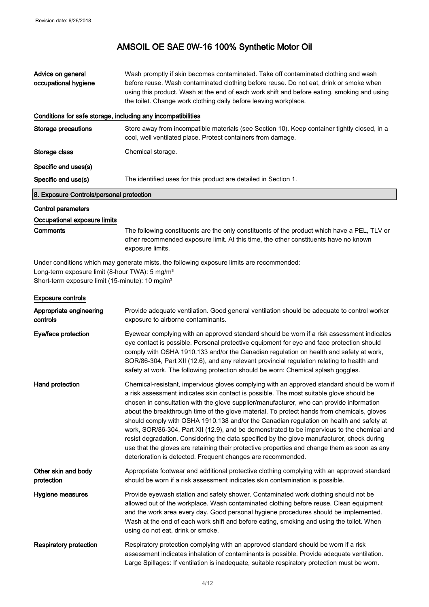| Advice on general<br>occupational hygiene                                                                                                                                                                              | Wash promptly if skin becomes contaminated. Take off contaminated clothing and wash<br>before reuse. Wash contaminated clothing before reuse. Do not eat, drink or smoke when<br>using this product. Wash at the end of each work shift and before eating, smoking and using<br>the toilet. Change work clothing daily before leaving workplace. |  |
|------------------------------------------------------------------------------------------------------------------------------------------------------------------------------------------------------------------------|--------------------------------------------------------------------------------------------------------------------------------------------------------------------------------------------------------------------------------------------------------------------------------------------------------------------------------------------------|--|
| Conditions for safe storage, including any incompatibilities                                                                                                                                                           |                                                                                                                                                                                                                                                                                                                                                  |  |
| <b>Storage precautions</b>                                                                                                                                                                                             | Store away from incompatible materials (see Section 10). Keep container tightly closed, in a<br>cool, well ventilated place. Protect containers from damage.                                                                                                                                                                                     |  |
| Storage class                                                                                                                                                                                                          | Chemical storage.                                                                                                                                                                                                                                                                                                                                |  |
| Specific end uses(s)                                                                                                                                                                                                   |                                                                                                                                                                                                                                                                                                                                                  |  |
| Specific end use(s)                                                                                                                                                                                                    | The identified uses for this product are detailed in Section 1.                                                                                                                                                                                                                                                                                  |  |
| 8. Exposure Controls/personal protection                                                                                                                                                                               |                                                                                                                                                                                                                                                                                                                                                  |  |
| <b>Control parameters</b>                                                                                                                                                                                              |                                                                                                                                                                                                                                                                                                                                                  |  |
| Occupational exposure limits                                                                                                                                                                                           |                                                                                                                                                                                                                                                                                                                                                  |  |
| Comments                                                                                                                                                                                                               | The following constituents are the only constituents of the product which have a PEL, TLV or<br>other recommended exposure limit. At this time, the other constituents have no known<br>exposure limits.                                                                                                                                         |  |
| Under conditions which may generate mists, the following exposure limits are recommended:<br>Long-term exposure limit (8-hour TWA): 5 mg/m <sup>3</sup><br>Short-term exposure limit (15-minute): 10 mg/m <sup>3</sup> |                                                                                                                                                                                                                                                                                                                                                  |  |
| <b>Exposure controls</b>                                                                                                                                                                                               |                                                                                                                                                                                                                                                                                                                                                  |  |
| Appropriate engineering                                                                                                                                                                                                | Provide adequate ventilation. Good general ventilation should be adequate to control worker                                                                                                                                                                                                                                                      |  |

| Unique climinality<br>controls    | Frovide adequate veritilation. Good general veritilation should be adequate to control worker<br>exposure to airborne contaminants.                                                                                                                                                                                                                                                                                                                                                                                                                                                                                                                                                                                                                                                                                                      |
|-----------------------------------|------------------------------------------------------------------------------------------------------------------------------------------------------------------------------------------------------------------------------------------------------------------------------------------------------------------------------------------------------------------------------------------------------------------------------------------------------------------------------------------------------------------------------------------------------------------------------------------------------------------------------------------------------------------------------------------------------------------------------------------------------------------------------------------------------------------------------------------|
| Eye/face protection               | Eyewear complying with an approved standard should be worn if a risk assessment indicates<br>eye contact is possible. Personal protective equipment for eye and face protection should<br>comply with OSHA 1910.133 and/or the Canadian regulation on health and safety at work,<br>SOR/86-304, Part XII (12.6), and any relevant provincial regulation relating to health and<br>safety at work. The following protection should be worn: Chemical splash goggles.                                                                                                                                                                                                                                                                                                                                                                      |
| Hand protection                   | Chemical-resistant, impervious gloves complying with an approved standard should be worn if<br>a risk assessment indicates skin contact is possible. The most suitable glove should be<br>chosen in consultation with the glove supplier/manufacturer, who can provide information<br>about the breakthrough time of the glove material. To protect hands from chemicals, gloves<br>should comply with OSHA 1910.138 and/or the Canadian regulation on health and safety at<br>work, SOR/86-304, Part XII (12.9), and be demonstrated to be impervious to the chemical and<br>resist degradation. Considering the data specified by the glove manufacturer, check during<br>use that the gloves are retaining their protective properties and change them as soon as any<br>deterioration is detected. Frequent changes are recommended. |
| Other skin and body<br>protection | Appropriate footwear and additional protective clothing complying with an approved standard<br>should be worn if a risk assessment indicates skin contamination is possible.                                                                                                                                                                                                                                                                                                                                                                                                                                                                                                                                                                                                                                                             |
| Hygiene measures                  | Provide eyewash station and safety shower. Contaminated work clothing should not be<br>allowed out of the workplace. Wash contaminated clothing before reuse. Clean equipment<br>and the work area every day. Good personal hygiene procedures should be implemented.<br>Wash at the end of each work shift and before eating, smoking and using the toilet. When<br>using do not eat, drink or smoke.                                                                                                                                                                                                                                                                                                                                                                                                                                   |
| <b>Respiratory protection</b>     | Respiratory protection complying with an approved standard should be worn if a risk<br>assessment indicates inhalation of contaminants is possible. Provide adequate ventilation.<br>Large Spillages: If ventilation is inadequate, suitable respiratory protection must be worn.                                                                                                                                                                                                                                                                                                                                                                                                                                                                                                                                                        |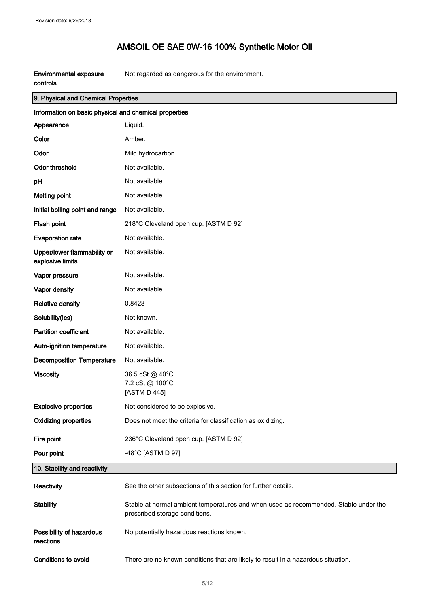| Environmental exposure | Not regarded as dangerous for the environment. |
|------------------------|------------------------------------------------|
| controls               |                                                |

| 9. Physical and Chemical Properties                   |                                                                                                                        |  |
|-------------------------------------------------------|------------------------------------------------------------------------------------------------------------------------|--|
| Information on basic physical and chemical properties |                                                                                                                        |  |
| Appearance                                            | Liquid.                                                                                                                |  |
| Color                                                 | Amber.                                                                                                                 |  |
| Odor                                                  | Mild hydrocarbon.                                                                                                      |  |
| <b>Odor threshold</b>                                 | Not available.                                                                                                         |  |
| pH                                                    | Not available.                                                                                                         |  |
| <b>Melting point</b>                                  | Not available.                                                                                                         |  |
| Initial boiling point and range                       | Not available.                                                                                                         |  |
| Flash point                                           | 218°C Cleveland open cup. [ASTM D 92]                                                                                  |  |
| <b>Evaporation rate</b>                               | Not available.                                                                                                         |  |
| Upper/lower flammability or<br>explosive limits       | Not available.                                                                                                         |  |
| Vapor pressure                                        | Not available.                                                                                                         |  |
| Vapor density                                         | Not available.                                                                                                         |  |
| <b>Relative density</b>                               | 0.8428                                                                                                                 |  |
| Solubility(ies)                                       | Not known.                                                                                                             |  |
| <b>Partition coefficient</b>                          | Not available.                                                                                                         |  |
| Auto-ignition temperature                             | Not available.                                                                                                         |  |
| <b>Decomposition Temperature</b>                      | Not available.                                                                                                         |  |
| <b>Viscosity</b>                                      | 36.5 cSt @ 40°C<br>7.2 cSt @ 100°C<br>[ASTM D 445]                                                                     |  |
| <b>Explosive properties</b>                           | Not considered to be explosive.                                                                                        |  |
| <b>Oxidizing properties</b>                           | Does not meet the criteria for classification as oxidizing.                                                            |  |
| Fire point                                            | 236°C Cleveland open cup. [ASTM D 92]                                                                                  |  |
| Pour point                                            | -48°C [ASTM D 97]                                                                                                      |  |
| 10. Stability and reactivity                          |                                                                                                                        |  |
| Reactivity                                            | See the other subsections of this section for further details.                                                         |  |
| <b>Stability</b>                                      | Stable at normal ambient temperatures and when used as recommended. Stable under the<br>prescribed storage conditions. |  |
| Possibility of hazardous<br>reactions                 | No potentially hazardous reactions known.                                                                              |  |
| Conditions to avoid                                   | There are no known conditions that are likely to result in a hazardous situation.                                      |  |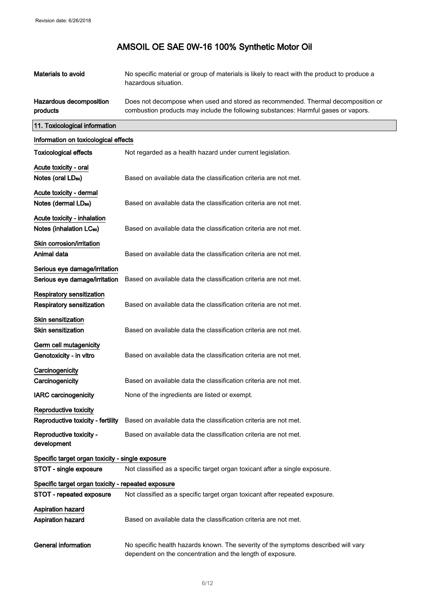| Materials to avoid                                                  | No specific material or group of materials is likely to react with the product to produce a<br>hazardous situation.                                                    |
|---------------------------------------------------------------------|------------------------------------------------------------------------------------------------------------------------------------------------------------------------|
| Hazardous decomposition<br>products                                 | Does not decompose when used and stored as recommended. Thermal decomposition or<br>combustion products may include the following substances: Harmful gases or vapors. |
| 11. Toxicological information                                       |                                                                                                                                                                        |
| Information on toxicological effects                                |                                                                                                                                                                        |
| <b>Toxicological effects</b>                                        | Not regarded as a health hazard under current legislation.                                                                                                             |
| Acute toxicity - oral<br>Notes (oral LD <sub>50</sub> )             | Based on available data the classification criteria are not met.                                                                                                       |
| Acute toxicity - dermal<br>Notes (dermal LD <sub>50</sub> )         | Based on available data the classification criteria are not met.                                                                                                       |
| Acute toxicity - inhalation<br>Notes (inhalation LC <sub>50</sub> ) | Based on available data the classification criteria are not met.                                                                                                       |
| Skin corrosion/irritation<br>Animal data                            | Based on available data the classification criteria are not met.                                                                                                       |
| Serious eye damage/irritation<br>Serious eye damage/irritation      | Based on available data the classification criteria are not met.                                                                                                       |
| <b>Respiratory sensitization</b><br>Respiratory sensitization       | Based on available data the classification criteria are not met.                                                                                                       |
| <b>Skin sensitization</b><br><b>Skin sensitization</b>              | Based on available data the classification criteria are not met.                                                                                                       |
| Germ cell mutagenicity<br>Genotoxicity - in vitro                   | Based on available data the classification criteria are not met.                                                                                                       |
| Carcinogenicity                                                     |                                                                                                                                                                        |
| Carcinogenicity                                                     | Based on available data the classification criteria are not met.                                                                                                       |
| <b>IARC</b> carcinogenicity                                         | None of the ingredients are listed or exempt.                                                                                                                          |
| Reproductive toxicity                                               |                                                                                                                                                                        |
| Reproductive toxicity - fertility                                   | Based on available data the classification criteria are not met.                                                                                                       |
| Reproductive toxicity -<br>development                              | Based on available data the classification criteria are not met.                                                                                                       |
| Specific target organ toxicity - single exposure                    |                                                                                                                                                                        |
| STOT - single exposure                                              | Not classified as a specific target organ toxicant after a single exposure.                                                                                            |
| Specific target organ toxicity - repeated exposure                  |                                                                                                                                                                        |
| STOT - repeated exposure                                            | Not classified as a specific target organ toxicant after repeated exposure.                                                                                            |
| <b>Aspiration hazard</b><br>Aspiration hazard                       | Based on available data the classification criteria are not met.                                                                                                       |
| <b>General information</b>                                          | No specific health hazards known. The severity of the symptoms described will vary<br>dependent on the concentration and the length of exposure.                       |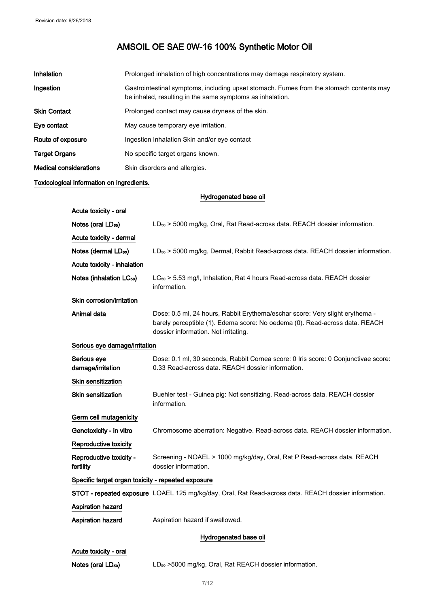| Inhalation                    | Prolonged inhalation of high concentrations may damage respiratory system.                                                                           |
|-------------------------------|------------------------------------------------------------------------------------------------------------------------------------------------------|
| Ingestion                     | Gastrointestinal symptoms, including upset stomach. Fumes from the stomach contents may<br>be inhaled, resulting in the same symptoms as inhalation. |
| <b>Skin Contact</b>           | Prolonged contact may cause dryness of the skin.                                                                                                     |
| Eye contact                   | May cause temporary eye irritation.                                                                                                                  |
| Route of exposure             | Ingestion Inhalation Skin and/or eye contact                                                                                                         |
| <b>Target Organs</b>          | No specific target organs known.                                                                                                                     |
| <b>Medical considerations</b> | Skin disorders and allergies.                                                                                                                        |

# Toxicological information on ingredients.

Hydrogenated base oil

| Acute toxicity - oral                              |                                                                                                                                                                                                     |  |
|----------------------------------------------------|-----------------------------------------------------------------------------------------------------------------------------------------------------------------------------------------------------|--|
| Notes (oral LD <sub>50</sub> )                     | LD <sub>50</sub> > 5000 mg/kg, Oral, Rat Read-across data. REACH dossier information.                                                                                                               |  |
| Acute toxicity - dermal                            |                                                                                                                                                                                                     |  |
| Notes (dermal LD <sub>50</sub> )                   | LD <sub>50</sub> > 5000 mg/kg, Dermal, Rabbit Read-across data. REACH dossier information.                                                                                                          |  |
| Acute toxicity - inhalation                        |                                                                                                                                                                                                     |  |
| Notes (inhalation LC <sub>50</sub> )               | LC <sub>50</sub> > 5.53 mg/l, Inhalation, Rat 4 hours Read-across data. REACH dossier<br>information.                                                                                               |  |
| Skin corrosion/irritation                          |                                                                                                                                                                                                     |  |
| Animal data                                        | Dose: 0.5 ml, 24 hours, Rabbit Erythema/eschar score: Very slight erythema -<br>barely perceptible (1). Edema score: No oedema (0). Read-across data. REACH<br>dossier information. Not irritating. |  |
| Serious eye damage/irritation                      |                                                                                                                                                                                                     |  |
| Serious eye<br>damage/irritation                   | Dose: 0.1 ml, 30 seconds, Rabbit Cornea score: 0 Iris score: 0 Conjunctivae score:<br>0.33 Read-across data. REACH dossier information.                                                             |  |
| <b>Skin sensitization</b>                          |                                                                                                                                                                                                     |  |
| <b>Skin sensitization</b>                          | Buehler test - Guinea pig: Not sensitizing. Read-across data. REACH dossier<br>information.                                                                                                         |  |
| Germ cell mutagenicity                             |                                                                                                                                                                                                     |  |
| Genotoxicity - in vitro                            | Chromosome aberration: Negative. Read-across data. REACH dossier information.                                                                                                                       |  |
| Reproductive toxicity                              |                                                                                                                                                                                                     |  |
| Reproductive toxicity -<br>fertility               | Screening - NOAEL > 1000 mg/kg/day, Oral, Rat P Read-across data. REACH<br>dossier information.                                                                                                     |  |
| Specific target organ toxicity - repeated exposure |                                                                                                                                                                                                     |  |
|                                                    | STOT - repeated exposure LOAEL 125 mg/kg/day, Oral, Rat Read-across data. REACH dossier information.                                                                                                |  |
| <b>Aspiration hazard</b>                           |                                                                                                                                                                                                     |  |
| Aspiration hazard                                  | Aspiration hazard if swallowed.                                                                                                                                                                     |  |
| Hydrogenated base oil                              |                                                                                                                                                                                                     |  |
| Acute toxicity - oral                              |                                                                                                                                                                                                     |  |
| Notes (oral LD <sub>50</sub> )                     | LD <sub>50</sub> >5000 mg/kg, Oral, Rat REACH dossier information.                                                                                                                                  |  |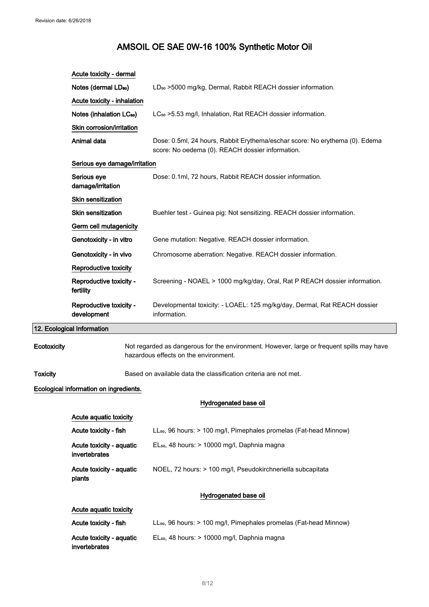|                 | Acute toxicity - dermal                   |                                                                                                                                    |
|-----------------|-------------------------------------------|------------------------------------------------------------------------------------------------------------------------------------|
|                 | Notes (dermal LD <sub>50</sub> )          | LD <sub>50</sub> >5000 mg/kg, Dermal, Rabbit REACH dossier information.                                                            |
|                 | Acute toxicity - inhalation               |                                                                                                                                    |
|                 | Notes (inhalation LC <sub>50</sub> )      | LC <sub>50</sub> > 5.53 mg/l, Inhalation, Rat REACH dossier information.                                                           |
|                 | Skin corrosion/irritation                 |                                                                                                                                    |
|                 | Animal data                               | Dose: 0.5ml, 24 hours, Rabbit Erythema/eschar score: No erythema (0). Edema<br>score: No oedema (0). REACH dossier information.    |
|                 | Serious eye damage/irritation             |                                                                                                                                    |
|                 | Serious eye<br>damage/irritation          | Dose: 0.1ml, 72 hours, Rabbit REACH dossier information.                                                                           |
|                 | Skin sensitization                        |                                                                                                                                    |
|                 | <b>Skin sensitization</b>                 | Buehler test - Guinea pig: Not sensitizing. REACH dossier information.                                                             |
|                 | Germ cell mutagenicity                    |                                                                                                                                    |
|                 | Genotoxicity - in vitro                   | Gene mutation: Negative. REACH dossier information.                                                                                |
|                 | Genotoxicity - in vivo                    | Chromosome aberration: Negative. REACH dossier information.                                                                        |
|                 | Reproductive toxicity                     |                                                                                                                                    |
|                 | Reproductive toxicity -<br>fertility      | Screening - NOAEL > 1000 mg/kg/day, Oral, Rat P REACH dossier information.                                                         |
|                 | Reproductive toxicity -<br>development    | Developmental toxicity: - LOAEL: 125 mg/kg/day, Dermal, Rat REACH dossier<br>information.                                          |
|                 | 12. Ecological Information                |                                                                                                                                    |
| Ecotoxicity     |                                           | Not regarded as dangerous for the environment. However, large or frequent spills may have<br>hazardous effects on the environment. |
| <b>Toxicity</b> |                                           | Based on available data the classification criteria are not met.                                                                   |
|                 | Ecological information on ingredients.    |                                                                                                                                    |
|                 |                                           | Hydrogenated base oil                                                                                                              |
|                 | Acute aquatic toxicity                    |                                                                                                                                    |
|                 | Acute toxicity - fish                     | LL <sub>50</sub> , 96 hours: > 100 mg/l, Pimephales promelas (Fat-head Minnow)                                                     |
|                 | Acute toxicity - aquatic<br>invertebrates | EL <sub>50</sub> , 48 hours: > 10000 mg/l, Daphnia magna                                                                           |
|                 | Acute toxicity - aquatic<br>plants        | NOEL, 72 hours: > 100 mg/l, Pseudokirchneriella subcapitata                                                                        |
|                 |                                           | Hydrogenated base oil                                                                                                              |
|                 | Acute aquatic toxicity                    |                                                                                                                                    |

| Acute toxicity - fish                     | LL <sub>50</sub> , 96 hours: > 100 mg/l, Pimephales promelas (Fat-head Minnow) |
|-------------------------------------------|--------------------------------------------------------------------------------|
| Acute toxicity - aguatic<br>invertebrates | $EL_{50}$ , 48 hours: > 10000 mg/l, Daphnia magna                              |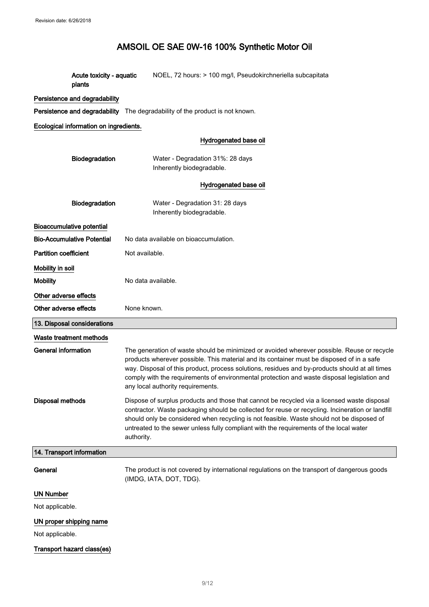| Acute toxicity - aquatic | NOEL, 72 hours: > 100 mg/l, Pseudokirchneriella subcapitata |
|--------------------------|-------------------------------------------------------------|
| plants                   |                                                             |

# Persistence and degradability

Persistence and degradability The degradability of the product is not known.

## Ecological information on ingredients.

|                                   | Hydrogenated base oil                                                                                                                                                                                                                                                                                                                                                                                                         |
|-----------------------------------|-------------------------------------------------------------------------------------------------------------------------------------------------------------------------------------------------------------------------------------------------------------------------------------------------------------------------------------------------------------------------------------------------------------------------------|
| Biodegradation                    | Water - Degradation 31%: 28 days<br>Inherently biodegradable.                                                                                                                                                                                                                                                                                                                                                                 |
|                                   | Hydrogenated base oil                                                                                                                                                                                                                                                                                                                                                                                                         |
| Biodegradation                    | Water - Degradation 31: 28 days<br>Inherently biodegradable.                                                                                                                                                                                                                                                                                                                                                                  |
| <b>Bioaccumulative potential</b>  |                                                                                                                                                                                                                                                                                                                                                                                                                               |
| <b>Bio-Accumulative Potential</b> | No data available on bioaccumulation.                                                                                                                                                                                                                                                                                                                                                                                         |
| <b>Partition coefficient</b>      | Not available.                                                                                                                                                                                                                                                                                                                                                                                                                |
| Mobility in soil                  |                                                                                                                                                                                                                                                                                                                                                                                                                               |
| <b>Mobility</b>                   | No data available.                                                                                                                                                                                                                                                                                                                                                                                                            |
| Other adverse effects             |                                                                                                                                                                                                                                                                                                                                                                                                                               |
| Other adverse effects             | None known.                                                                                                                                                                                                                                                                                                                                                                                                                   |
| 13. Disposal considerations       |                                                                                                                                                                                                                                                                                                                                                                                                                               |
| Waste treatment methods           |                                                                                                                                                                                                                                                                                                                                                                                                                               |
| <b>General information</b>        | The generation of waste should be minimized or avoided wherever possible. Reuse or recycle<br>products wherever possible. This material and its container must be disposed of in a safe<br>way. Disposal of this product, process solutions, residues and by-products should at all times<br>comply with the requirements of environmental protection and waste disposal legislation and<br>any local authority requirements. |
| <b>Disposal methods</b>           | Dispose of surplus products and those that cannot be recycled via a licensed waste disposal<br>contractor. Waste packaging should be collected for reuse or recycling. Incineration or landfill<br>should only be considered when recycling is not feasible. Waste should not be disposed of<br>untreated to the sewer unless fully compliant with the requirements of the local water<br>authority.                          |
| 14. Transport information         |                                                                                                                                                                                                                                                                                                                                                                                                                               |
| General                           | The product is not covered by international regulations on the transport of dangerous goods<br>(IMDG, IATA, DOT, TDG).                                                                                                                                                                                                                                                                                                        |

# UN Number

Not applicable.

# UN proper shipping name

Not applicable.

# Transport hazard class(es)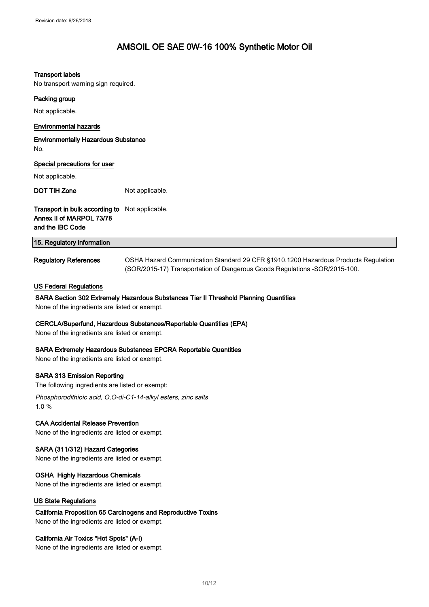#### Transport labels

No transport warning sign required.

# Packing group

Not applicable.

## Environmental hazards

Environmentally Hazardous Substance No.

| Special precautions for user<br>Not applicable.                                                |                 |
|------------------------------------------------------------------------------------------------|-----------------|
| DOT TIH Zone                                                                                   | Not applicable. |
| Transport in bulk according to Not applicable.<br>Annex II of MARPOL 73/78<br>and the IBC Code |                 |
| 15. Regulatory information                                                                     |                 |

Regulatory References **OSHA Hazard Communication Standard 29 CFR §1910.1200 Hazardous Products Regulation** (SOR/2015-17) Transportation of Dangerous Goods Regulations -SOR/2015-100.

#### US Federal Regulations

### SARA Section 302 Extremely Hazardous Substances Tier II Threshold Planning Quantities

None of the ingredients are listed or exempt.

#### CERCLA/Superfund, Hazardous Substances/Reportable Quantities (EPA)

None of the ingredients are listed or exempt.

#### SARA Extremely Hazardous Substances EPCRA Reportable Quantities

None of the ingredients are listed or exempt.

#### SARA 313 Emission Reporting

The following ingredients are listed or exempt:

Phosphorodithioic acid, O,O-di-C1-14-alkyl esters, zinc salts 1.0 %

## CAA Accidental Release Prevention

None of the ingredients are listed or exempt.

## SARA (311/312) Hazard Categories

None of the ingredients are listed or exempt.

#### OSHA Highly Hazardous Chemicals

None of the ingredients are listed or exempt.

## US State Regulations

# California Proposition 65 Carcinogens and Reproductive Toxins

None of the ingredients are listed or exempt.

## California Air Toxics "Hot Spots" (A-I)

None of the ingredients are listed or exempt.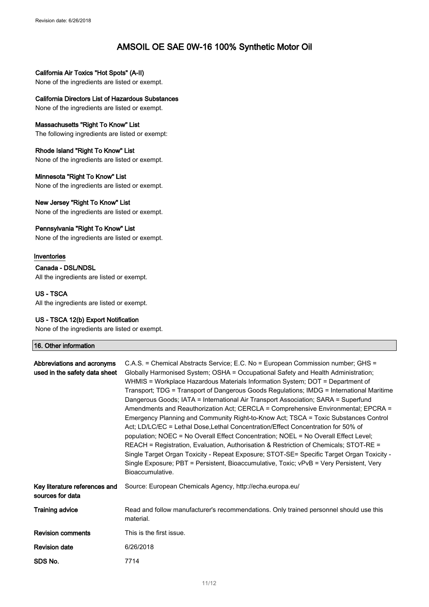# California Air Toxics "Hot Spots" (A-II)

None of the ingredients are listed or exempt.

# California Directors List of Hazardous Substances

None of the ingredients are listed or exempt.

## Massachusetts "Right To Know" List

The following ingredients are listed or exempt:

#### Rhode Island "Right To Know" List

None of the ingredients are listed or exempt.

## Minnesota "Right To Know" List

None of the ingredients are listed or exempt.

#### New Jersey "Right To Know" List

None of the ingredients are listed or exempt.

#### Pennsylvania "Right To Know" List

None of the ingredients are listed or exempt.

#### Inventories

# Canada - DSL/NDSL

All the ingredients are listed or exempt.

## US - TSCA

All the ingredients are listed or exempt.

## US - TSCA 12(b) Export Notification

None of the ingredients are listed or exempt.

#### 16. Other information

| Abbreviations and acronyms<br>used in the safety data sheet | C.A.S. = Chemical Abstracts Service; E.C. No = European Commission number; GHS =<br>Globally Harmonised System; OSHA = Occupational Safety and Health Administration;<br>WHMIS = Workplace Hazardous Materials Information System; DOT = Department of<br>Transport; TDG = Transport of Dangerous Goods Regulations; IMDG = International Maritime<br>Dangerous Goods; IATA = International Air Transport Association; SARA = Superfund<br>Amendments and Reauthorization Act; CERCLA = Comprehensive Environmental; EPCRA =<br>Emergency Planning and Community Right-to-Know Act; TSCA = Toxic Substances Control<br>Act; LD/LC/EC = Lethal Dose, Lethal Concentration/Effect Concentration for 50% of<br>population; NOEC = No Overall Effect Concentration; NOEL = No Overall Effect Level;<br>REACH = Registration, Evaluation, Authorisation & Restriction of Chemicals; STOT-RE =<br>Single Target Organ Toxicity - Repeat Exposure; STOT-SE= Specific Target Organ Toxicity -<br>Single Exposure; PBT = Persistent, Bioaccumulative, Toxic; vPvB = Very Persistent, Very<br>Bioaccumulative. |
|-------------------------------------------------------------|------------------------------------------------------------------------------------------------------------------------------------------------------------------------------------------------------------------------------------------------------------------------------------------------------------------------------------------------------------------------------------------------------------------------------------------------------------------------------------------------------------------------------------------------------------------------------------------------------------------------------------------------------------------------------------------------------------------------------------------------------------------------------------------------------------------------------------------------------------------------------------------------------------------------------------------------------------------------------------------------------------------------------------------------------------------------------------------------------|
| Key literature references and<br>sources for data           | Source: European Chemicals Agency, http://echa.europa.eu/                                                                                                                                                                                                                                                                                                                                                                                                                                                                                                                                                                                                                                                                                                                                                                                                                                                                                                                                                                                                                                            |
| <b>Training advice</b>                                      | Read and follow manufacturer's recommendations. Only trained personnel should use this<br>material.                                                                                                                                                                                                                                                                                                                                                                                                                                                                                                                                                                                                                                                                                                                                                                                                                                                                                                                                                                                                  |
| <b>Revision comments</b>                                    | This is the first issue.                                                                                                                                                                                                                                                                                                                                                                                                                                                                                                                                                                                                                                                                                                                                                                                                                                                                                                                                                                                                                                                                             |
| <b>Revision date</b>                                        | 6/26/2018                                                                                                                                                                                                                                                                                                                                                                                                                                                                                                                                                                                                                                                                                                                                                                                                                                                                                                                                                                                                                                                                                            |
| SDS No.                                                     | 7714                                                                                                                                                                                                                                                                                                                                                                                                                                                                                                                                                                                                                                                                                                                                                                                                                                                                                                                                                                                                                                                                                                 |